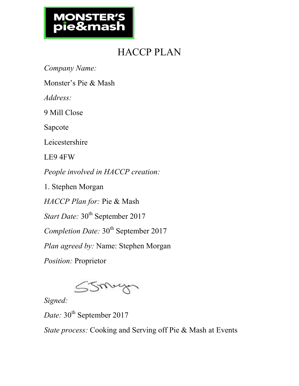# **MONSTER**

### HACCP PLAN

*Company Name:* 

Monster's Pie & Mash

*Address:*

9 Mill Close

Sapcote

Leicestershire

LE9 4FW

*People involved in HACCP creation:*

1. Stephen Morgan

*HACCP Plan for:* Pie & Mash

*Start Date:* 30<sup>th</sup> September 2017

*Completion Date:* 30<sup>th</sup> September 2017

*Plan agreed by:* Name: Stephen Morgan

*Position:* Proprietor



*Signed:* 

Date: 30<sup>th</sup> September 2017

*State process:* Cooking and Serving off Pie & Mash at Events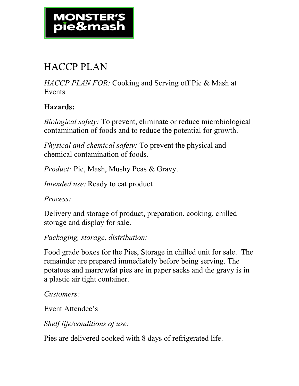#### HACCP PLAN

*HACCP PLAN FOR:* Cooking and Serving off Pie & Mash at **Events** 

#### **Hazards:**

*Biological safety:* To prevent, eliminate or reduce microbiological contamination of foods and to reduce the potential for growth.

*Physical and chemical safety:* To prevent the physical and chemical contamination of foods.

*Product: Pie, Mash, Mushy Peas & Gravy.* 

*Intended use:* Ready to eat product

*Process:*

Delivery and storage of product, preparation, cooking, chilled storage and display for sale.

*Packaging, storage, distribution:*

Food grade boxes for the Pies, Storage in chilled unit for sale. The remainder are prepared immediately before being serving. The potatoes and marrowfat pies are in paper sacks and the gravy is in a plastic air tight container.

*Customers:*

Event Attendee's

*Shelf life/conditions of use:*

Pies are delivered cooked with 8 days of refrigerated life.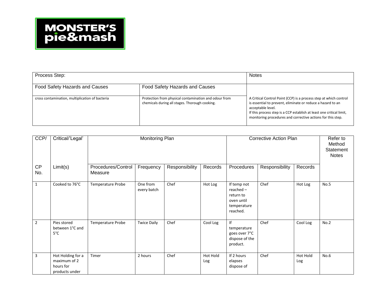| Process Step:                                   | <b>Notes</b>                                                                                            |                                                                                                                                                                                                                                                                                              |
|-------------------------------------------------|---------------------------------------------------------------------------------------------------------|----------------------------------------------------------------------------------------------------------------------------------------------------------------------------------------------------------------------------------------------------------------------------------------------|
| Food Safety Hazards and Causes                  | Food Safety Hazards and Causes                                                                          |                                                                                                                                                                                                                                                                                              |
| cross contamination, multiplication of bacteria | Protection from physical contamination and odour from<br>chemicals during all stages. Thorough cooking. | A Critical Control Point (CCP) is a process step at which control<br>is essential to prevent, eliminate or reduce a hazard to an<br>acceptable level.<br>If this process step is a CCP establish at least one critical limit,<br>monitoring procedures and corrective actions for this step. |

| CCP/           | Critical/'Legal'                                                 | Monitoring Plan               |                         |                | <b>Corrective Action Plan</b> |                                                                                  |                | Refer to<br>Method<br>Statement<br><b>Notes</b> |      |
|----------------|------------------------------------------------------------------|-------------------------------|-------------------------|----------------|-------------------------------|----------------------------------------------------------------------------------|----------------|-------------------------------------------------|------|
| CP<br>No.      | Limit(s)                                                         | Procedures/Control<br>Measure | Frequency               | Responsibility | Records                       | Procedures                                                                       | Responsibility | Records                                         |      |
| $\mathbf{1}$   | Cooked to 76°C                                                   | Temperature Probe             | One from<br>every batch | Chef           | Hot Log                       | If temp not<br>$reached -$<br>return to<br>oven until<br>temperature<br>reached. | Chef           | Hot Log                                         | No.5 |
| $\overline{2}$ | Pies stored<br>between 1°C and<br>$5^{\circ}$ C                  | Temperature Probe             | <b>Twice Daily</b>      | Chef           | Cool Log                      | If<br>temperature<br>goes over 7°C<br>dispose of the<br>product.                 | Chef           | Cool Log                                        | No.2 |
| $\overline{3}$ | Hot Holding for a<br>maximum of 2<br>hours for<br>products under | Timer                         | 2 hours                 | Chef           | Hot Hold<br>Log               | If 2 hours<br>elapses<br>dispose of                                              | Chef           | Hot Hold<br>Log                                 | No.6 |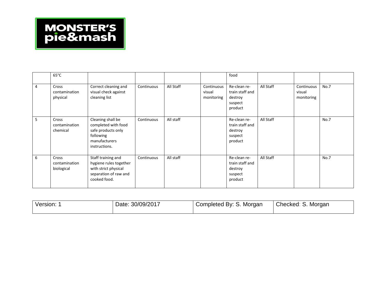|   | $65^{\circ}$ C                       |                                                                                                               |            |           |                                    | food                                                             |           |                                    |      |
|---|--------------------------------------|---------------------------------------------------------------------------------------------------------------|------------|-----------|------------------------------------|------------------------------------------------------------------|-----------|------------------------------------|------|
| 4 | Cross<br>contamination<br>physical   | Correct cleaning and<br>visual check against<br>cleaning list                                                 | Continuous | All Staff | Continuous<br>visual<br>monitoring | Re-clean re-<br>train staff and<br>destroy<br>suspect<br>product | All Staff | Continuous<br>visual<br>monitoring | No.7 |
| 5 | Cross<br>contamination<br>chemical   | Cleaning shall be<br>completed with food<br>safe products only<br>following<br>manufacturers<br>instructions. | Continuous | All staff |                                    | Re-clean re-<br>train staff and<br>destroy<br>suspect<br>product | All Staff |                                    | No.7 |
| 6 | Cross<br>contamination<br>biological | Staff training and<br>hygiene rules together<br>with strict physical<br>separation of raw and<br>cooked food. | Continuous | All staff |                                    | Re-clean re-<br>train staff and<br>destroy<br>suspect<br>product | All Staff |                                    | No.7 |

| Version: | Date: 30/09/2017 | Completed By: S. Morgan | Checked: S. Morgan |
|----------|------------------|-------------------------|--------------------|
|----------|------------------|-------------------------|--------------------|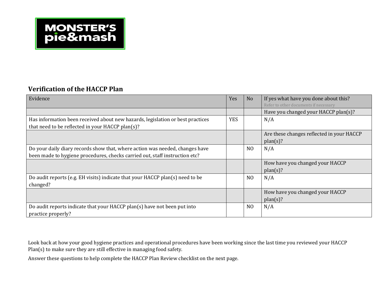

#### **Verification of the HACCP Plan**

| Evidence                                                                                                                                                    | Yes        | N <sub>o</sub> | If yes what have you done about this?<br>Refer to other documents if necessary |
|-------------------------------------------------------------------------------------------------------------------------------------------------------------|------------|----------------|--------------------------------------------------------------------------------|
|                                                                                                                                                             |            |                | Have you changed your HACCP plan(s)?                                           |
| Has information been received about new hazards, legislation or best practices<br>that need to be reflected in your HACCP plan(s)?                          | <b>YES</b> |                | N/A                                                                            |
|                                                                                                                                                             |            |                | Are these changes reflected in your HACCP<br>plan(s)?                          |
| Do your daily diary records show that, where action was needed, changes have<br>been made to hygiene procedures, checks carried out, staff instruction etc? |            | N <sub>O</sub> | N/A                                                                            |
|                                                                                                                                                             |            |                | How have you changed your HACCP<br>plan(s)?                                    |
| Do audit reports (e.g. EH visits) indicate that your HACCP plan(s) need to be<br>changed?                                                                   |            | N <sub>O</sub> | N/A                                                                            |
|                                                                                                                                                             |            |                | How have you changed your HACCP<br>plan(s)?                                    |
| Do audit reports indicate that your HACCP plan(s) have not been put into<br>practice properly?                                                              |            | N <sub>O</sub> | N/A                                                                            |

Look back at how your good hygiene practices and operational procedures have been working since the last time you reviewed your HACCP Plan(s) to make sure they are still effective in managing food safety.

Answer these questions to help complete the HACCP Plan Review checklist on the next page.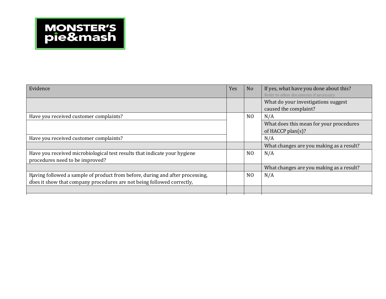| Evidence                                                                                                     | Yes | N <sub>o</sub> | If yes, what have you done about this?<br>Refer to other documents if necessary |
|--------------------------------------------------------------------------------------------------------------|-----|----------------|---------------------------------------------------------------------------------|
|                                                                                                              |     |                | What do your investigations suggest<br>caused the complaint?                    |
| Have you received customer complaints?                                                                       |     | N <sub>0</sub> | N/A                                                                             |
|                                                                                                              |     |                | What does this mean for your procedures                                         |
|                                                                                                              |     |                | of HACCP plan $(s)$ ?                                                           |
| Have you received customer complaints?                                                                       |     |                | N/A                                                                             |
|                                                                                                              |     |                | What changes are you making as a result?                                        |
| Have you received microbiological test results that indicate your hygiene<br>procedures need to be improved? |     | N <sub>O</sub> | N/A                                                                             |
|                                                                                                              |     |                | What changes are you making as a result?                                        |
| Having followed a sample of product from before, during and after processing,                                |     | N <sub>O</sub> | N/A                                                                             |
| does it show that company procedures are not being followed correctly,                                       |     |                |                                                                                 |
|                                                                                                              |     |                |                                                                                 |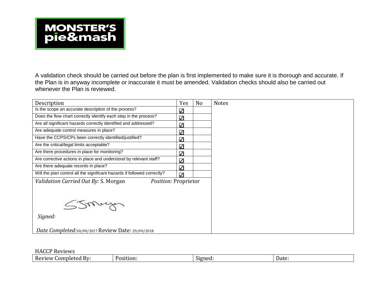A validation check should be carried out before the plan is first implemented to make sure it is thorough and accurate. If the Plan is in anyway incomplete or inaccurate it must be amended. Validation checks should also be carried out whenever the Plan is reviewed.

| Description                                                              | Yes          | N <sub>o</sub> | <b>Notes</b> |
|--------------------------------------------------------------------------|--------------|----------------|--------------|
| Is the scope an accurate description of the process?                     | $\checkmark$ |                |              |
| Does the flow chart correctly identify each step in the process?         | $\checkmark$ |                |              |
| Are all significant hazards correctly identified and addressed?          | $\checkmark$ |                |              |
| Are adequate control measures in place?                                  | $\checkmark$ |                |              |
| Have the CCPS/CPs been correctly identified/justified?                   | $\checkmark$ |                |              |
| Are the critical/legal limits acceptable?                                | $\checkmark$ |                |              |
| Are there procedures in place for monitoring?                            | $\checkmark$ |                |              |
| Are corrective actions in place and understood by relevant staff?        | $\checkmark$ |                |              |
| Are there adequate records in place?                                     | $\checkmark$ |                |              |
| Will the plan control all the significant hazards if followed correctly? | $\checkmark$ |                |              |
| Validation Carried Out By: S. Morgan<br>Position: Proprietor             |              |                |              |
|                                                                          |              |                |              |
|                                                                          |              |                |              |
| Simple                                                                   |              |                |              |
|                                                                          |              |                |              |
| Signed:                                                                  |              |                |              |
|                                                                          |              |                |              |
| Date Completed: 30/09/2017 Review Date: 29/09/2018                       |              |                |              |

#### HACCP Reviews

| 1201<br>BV:<br>nleted<br>$\sim$<br>. .or<br>'V I t<br>ΓVΕ<br>$\mathbf{M}$ | uon<br>∵יס∩ש: | $\sqrt{2}$<br>™∩∩∙<br>512<br>.u | Date |
|---------------------------------------------------------------------------|---------------|---------------------------------|------|
|                                                                           |               |                                 |      |